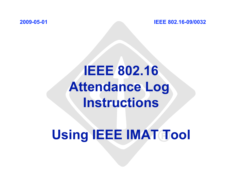**2009-05-01 IEEE 802.16-09/0032** 

# **IEEE 802.16 Attendance Log Instructions**

# Using **IEEE IMAT Tool**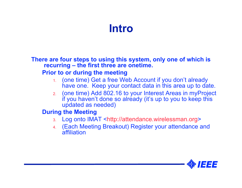## **Intro**

**There are four steps to using this system, only one of which is recurring – the first three are onetime.** 

#### **Prior to or during the meeting**

- 1. (one time) Get a free Web Account if you don't already have one. Keep your contact data in this area up to date.
- 2. (one time) Add 802.16 to your Interest Areas in myProject if you haven't done so already (it's up to you to keep this updated as needed)

#### **During the Meeting**

- 3. Log onto IMAT <[http://attendance.wirelessman.org>](http://attendance.wirelessman.org)
- 4. (Each Meeting Breakout) Register your attendance and affiliation

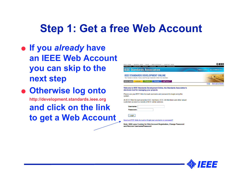## **Step 1: Get a free Web Account**

- **If you** *already* **have an IEEE Web Account you can skip to the next step**
- **Otherwise log onto <http://development.standards.ieee.org> and click on the link to get a Web Account**



#### Welcome to IEEE Standards Development Online, the Standards Association's electronic tool for managing your projects

Please use your IEEE Web Account username and password to begin using this system

An IEEE Web Account provides IEEE members, IEEE-SA Members and other valued customers access to a variety of IEEE online services

| Username: |  |
|-----------|--|
| Password: |  |

Need an IEEE Web Account or forget your username or password?

Note: IEEE uses Cookies for Web Account Registration, Change Password and Recover Username/Password

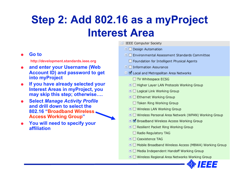# **Step 2: Add 802.16 as a myProject Interest Area**

#### **Go to**

**<http://development.standards.ieee.org>**

- **and enter your Username (Web Account ID) and password to get into myProject**
- **If you have already selected your Interest Areas in myProject, you may skip this step; otherwise….**
- **Select** *Manage Activity Profile* **and drill down to select the 802.16 "Broadband Wireless Access Working Group"**
- **You will need to specify your affiliation**
- E IEEE Computer Society
	- $\Box$  Design Automation
	- + □ Environmental Assessment Standards Committee
		- Foundation for Intelligent Physical Agents
	- $\pm$   $\Box$  Information Assurance
	- □ Ø Local and Metropolitan Area Networks
		- □ TV Whitespace ECSG
		- **E E** Higher Layer LAN Protocols Working Group
		- $\boxplus$   $\boxminus$  Logical Link Working Group
		- $\boxplus$   $\boxminus$  Ethernet Working Group
			- □ Token Ring Working Group
		- $\boxplus$   $\boxminus$  Wireless LAN Working Group
		- E Wireless Personal Area Network (WPAN) Working Group
		- **E** Ø Broadband Wireless Access Working Group
		- $\boxplus$   $\boxminus$  Resilient Packet Ring Working Group
			- Radio Regulatory TAG
		- $\pm$   $\Box$  Coexistence TAG
		- $\pm$   $\Box$  Mobile Broadband Wireless Access (MBWA) Working Group
		- $\boxplus$   $\boxminus$  Media Independent Handoff Working Group
		- $\pm$   $\Box$  Wireless Regional Area Networks Working Group

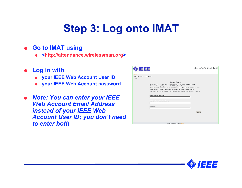# **Step 3: Log onto IMAT**

- **Go to IMAT using** 
	- **[<http://attendance.wirelessman.org>](http://attendance.wirelessman.org)**
- **Log in with** 
	- **your IEEE Web Account User ID**
	- **your IEEE Web Account password**
- *Note: You can enter your IEEE Web Account Email Address instead of your IEEE Web Account User ID; you don't need to enter both*

| 크크크                                                                                                                                                                   | <b>IEEE Attendance Tool</b> |  |  |  |  |  |  |  |
|-----------------------------------------------------------------------------------------------------------------------------------------------------------------------|-----------------------------|--|--|--|--|--|--|--|
|                                                                                                                                                                       |                             |  |  |  |  |  |  |  |
| <b>HOME</b><br>Mon 20-Apr-2009 16:51:11 EST<br>Guest                                                                                                                  |                             |  |  |  |  |  |  |  |
| Login Page                                                                                                                                                            |                             |  |  |  |  |  |  |  |
| Welcome to the IEEE Attendance Tracking system. This system provides onsite<br>attendance tracking integrated with the IEEE myProject™ system.                        |                             |  |  |  |  |  |  |  |
| This system now requires you to log on using your IEEE Web Account information. If you<br>do not yet have an IEEE Web Account, you need to get one before proceeding. |                             |  |  |  |  |  |  |  |
| You must enter either your IEEE Web Account User ID or Email Address, and Password.                                                                                   |                             |  |  |  |  |  |  |  |
| <b>IEEE Web Account User ID:</b>                                                                                                                                      |                             |  |  |  |  |  |  |  |
|                                                                                                                                                                       |                             |  |  |  |  |  |  |  |
| IEEE Web Account Email Address:                                                                                                                                       |                             |  |  |  |  |  |  |  |
| Password:                                                                                                                                                             |                             |  |  |  |  |  |  |  |
|                                                                                                                                                                       |                             |  |  |  |  |  |  |  |
|                                                                                                                                                                       | Localn                      |  |  |  |  |  |  |  |
|                                                                                                                                                                       |                             |  |  |  |  |  |  |  |
|                                                                                                                                                                       |                             |  |  |  |  |  |  |  |
|                                                                                                                                                                       |                             |  |  |  |  |  |  |  |
| Copyright @ 2007-2009 IEEE                                                                                                                                            |                             |  |  |  |  |  |  |  |

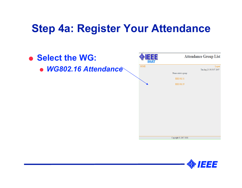### **Step 4a: Register Your Attendance**



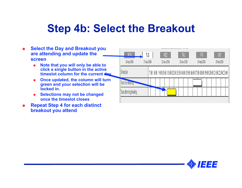## **Step 4b: Select the Breakout**

- **Select the Day and Breakout you are attending and update the screen** 
	- **Note that you will only be able to click a single button in the active timeslot column for the current day**
	- **Once updated, the column will turn green and your selection will be locked in.**
	- **Selections may not be changed once the timeslot closes**
- **Repeat Step 4 for each distinct breakout you attend**

|                      |             |  |                                                                                                    |     | BOOTH VALUED VIOLENCE WARDER WITH THE LAND |  |             |     |  |  |             |  |  |  |             |  |  |  |
|----------------------|-------------|--|----------------------------------------------------------------------------------------------------|-----|--------------------------------------------|--|-------------|-----|--|--|-------------|--|--|--|-------------|--|--|--|
| MON                  | TVE         |  |                                                                                                    | WED |                                            |  |             | ĪHJ |  |  | FR          |  |  |  | SAT         |  |  |  |
| 20-Apr-2009          | 21-Apr-2009 |  | 22-Apr-2009                                                                                        |     |                                            |  | 23-Apr-2009 |     |  |  | 24 Apr-2009 |  |  |  | 25-Apr-2009 |  |  |  |
| Schedule             |             |  | 7:00 8:00 9:00 10:00 11:00 12:00 13:00 14:00 15:00 16:00 17:00 18:00 19:00 20:00 21:00 22:00 23:00 |     |                                            |  |             |     |  |  |             |  |  |  |             |  |  |  |
| Tues Eve Meeting     |             |  |                                                                                                    |     |                                            |  |             |     |  |  |             |  |  |  |             |  |  |  |
| Tues Morning Meeting |             |  |                                                                                                    |     |                                            |  |             |     |  |  |             |  |  |  |             |  |  |  |
|                      |             |  |                                                                                                    |     |                                            |  |             |     |  |  |             |  |  |  |             |  |  |  |

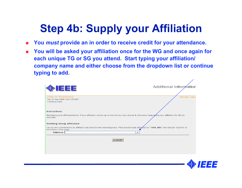# **Step 4b: Supply your Affiliation**

- **You** *must* **provide an in order to receive credit for your attendance.**
- **You will be asked your affiliation once for the WG and once again for each unique TG or SG you attend. Start typing your affiliation/ company name and either choose from the dropdown list or continue typing to add.**

| <b>&gt;IEEE</b>                                                                                                                                                           | Additional Informatior |
|---------------------------------------------------------------------------------------------------------------------------------------------------------------------------|------------------------|
|                                                                                                                                                                           |                        |
| HOME >> ATTENDANCE<br>Tue 21-Apr-2009 10:47:05 EST                                                                                                                        | Manage Logou           |
| Christina Sahr                                                                                                                                                            |                        |
|                                                                                                                                                                           |                        |
| Instructions                                                                                                                                                              |                        |
| Start typing your affiliation below. If your affiliation shows up on the list you may choose it, otherwise keep typing your affiliation for it to be<br>recorded.         |                        |
| Working Group Affiliation                                                                                                                                                 |                        |
| You do not currently have an affiliation declared for this working group. Please enter your affiliation for "1694_WG" and click on "Submit" at<br>the bottom of the page. |                        |
| Affiliation:<br>▼                                                                                                                                                         |                        |
| <b>SUBMIT</b>                                                                                                                                                             |                        |
|                                                                                                                                                                           |                        |
|                                                                                                                                                                           |                        |
|                                                                                                                                                                           |                        |